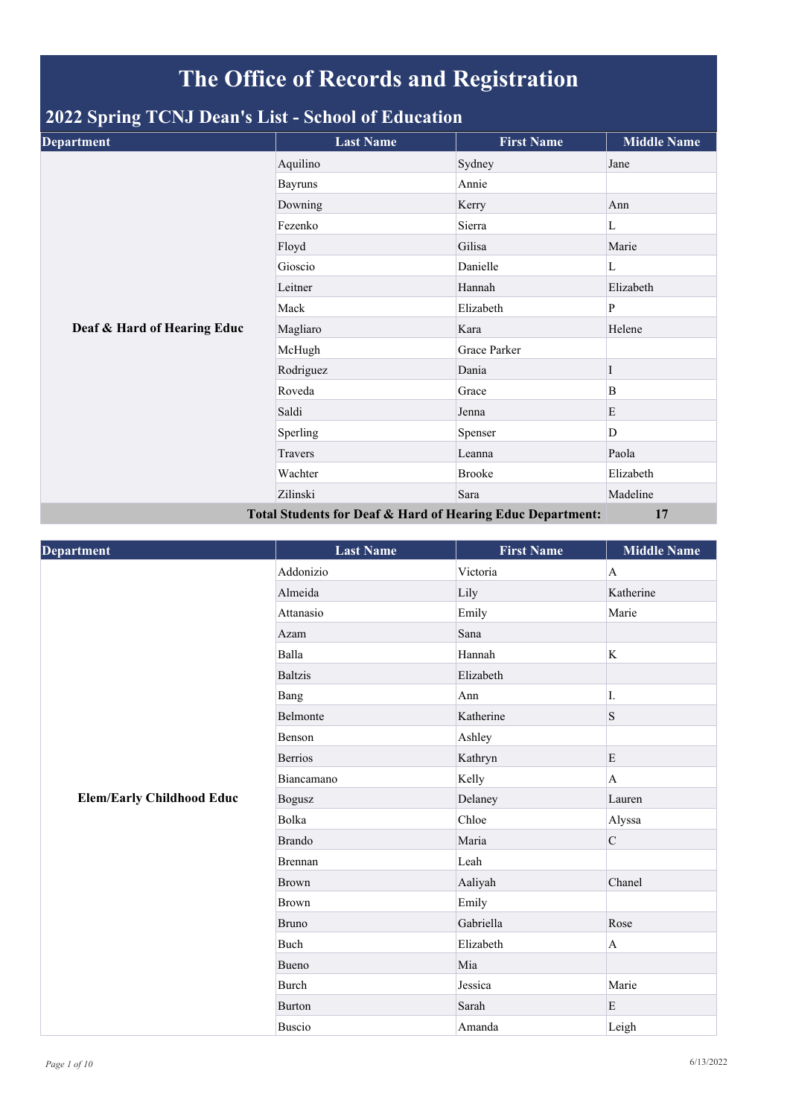## **The Office of Records and Registration**

## **2022 Spring TCNJ Dean's List - School of Education**

| <b>Department</b>                                          | <b>Last Name</b> | <b>First Name</b> | <b>Middle Name</b> |
|------------------------------------------------------------|------------------|-------------------|--------------------|
|                                                            | Aquilino         | Sydney            | Jane               |
|                                                            | <b>Bayruns</b>   | Annie             |                    |
|                                                            | Downing          | Kerry             | Ann                |
|                                                            | Fezenko          | Sierra            | L                  |
|                                                            | Floyd            | Gilisa            | Marie              |
|                                                            | Gioscio          | Danielle          | L                  |
|                                                            | Leitner          | Hannah            | Elizabeth          |
|                                                            | Mack             | Elizabeth         | P                  |
| Deaf & Hard of Hearing Educ                                | Magliaro         | Kara              | Helene             |
|                                                            | McHugh           | Grace Parker      |                    |
|                                                            | Rodriguez        | Dania             | 1                  |
|                                                            | Roveda           | Grace             | B                  |
|                                                            | Saldi            | Jenna             | E                  |
|                                                            | Sperling         | Spenser           | D                  |
|                                                            | Travers          | Leanna            | Paola              |
|                                                            | Wachter          | <b>Brooke</b>     | Elizabeth          |
|                                                            | Zilinski         | Sara              | Madeline           |
| Total Students for Deaf & Hard of Hearing Educ Department: |                  |                   | 17                 |

| Department                       | <b>Last Name</b> | <b>First Name</b> | <b>Middle Name</b> |
|----------------------------------|------------------|-------------------|--------------------|
|                                  | Addonizio        | Victoria          | $\mathbf{A}$       |
|                                  | Almeida          | Lily              | Katherine          |
|                                  | Attanasio        | Emily             | Marie              |
|                                  | Azam             | Sana              |                    |
|                                  | Balla            | Hannah            | K                  |
|                                  | <b>Baltzis</b>   | Elizabeth         |                    |
|                                  | Bang             | Ann               | I.                 |
|                                  | Belmonte         | Katherine         | $\mathbf S$        |
|                                  | Benson           | Ashley            |                    |
|                                  | <b>Berrios</b>   | Kathryn           | E                  |
|                                  | Biancamano       | Kelly             | A                  |
| <b>Elem/Early Childhood Educ</b> | <b>Bogusz</b>    | Delaney           | Lauren             |
|                                  | Bolka            | Chloe             | Alyssa             |
|                                  | <b>Brando</b>    | Maria             | $\mathbf C$        |
|                                  | <b>Brennan</b>   | Leah              |                    |
|                                  | <b>Brown</b>     | Aaliyah           | Chanel             |
|                                  | <b>Brown</b>     | Emily             |                    |
|                                  | <b>Bruno</b>     | Gabriella         | Rose               |
|                                  | Buch             | Elizabeth         | $\mathbf{A}$       |
|                                  | Bueno            | Mia               |                    |
|                                  | <b>Burch</b>     | Jessica           | Marie              |
|                                  | <b>Burton</b>    | Sarah             | E                  |
|                                  | <b>Buscio</b>    | Amanda            | Leigh              |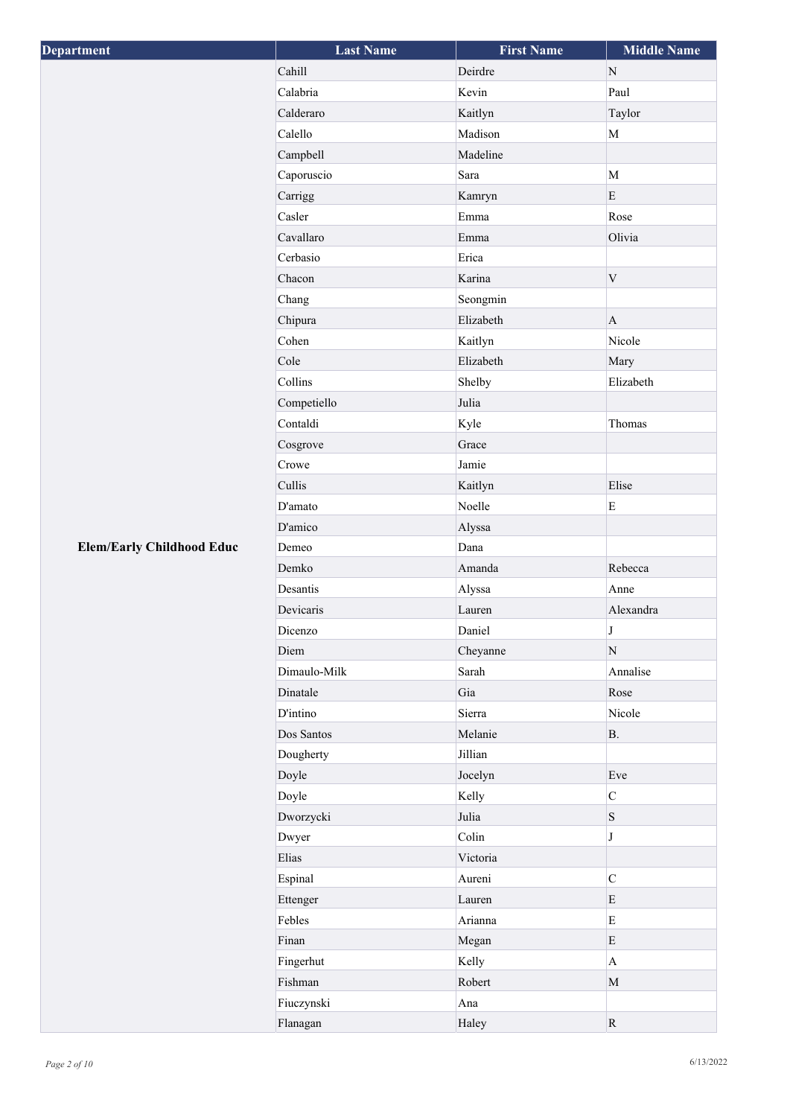| <b>Department</b>                | <b>Last Name</b> | <b>First Name</b> | <b>Middle Name</b> |
|----------------------------------|------------------|-------------------|--------------------|
|                                  | Cahill           | Deirdre           | ${\bf N}$          |
|                                  | Calabria         | Kevin             | Paul               |
|                                  | Calderaro        | Kaitlyn           | Taylor             |
|                                  | Calello          | Madison           | $\mathbf M$        |
|                                  | Campbell         | Madeline          |                    |
|                                  | Caporuscio       | Sara              | $\mathbf{M}$       |
|                                  | Carrigg          | Kamryn            | $\mathbf E$        |
|                                  | Casler           | Emma              | Rose               |
|                                  | Cavallaro        | Emma              | Olivia             |
|                                  | Cerbasio         | Erica             |                    |
|                                  | Chacon           | Karina            | $\mathbf V$        |
|                                  | Chang            | Seongmin          |                    |
|                                  | Chipura          | Elizabeth         | $\bf{A}$           |
|                                  | Cohen            | Kaitlyn           | Nicole             |
|                                  | Cole             | Elizabeth         | Mary               |
|                                  | Collins          | Shelby            | Elizabeth          |
|                                  | Competiello      | Julia             |                    |
|                                  | Contaldi         | Kyle              | Thomas             |
|                                  | Cosgrove         | Grace             |                    |
|                                  | Crowe            | Jamie             |                    |
|                                  | Cullis           | Kaitlyn           | Elise              |
|                                  | D'amato          | Noelle            | $\mathbf E$        |
|                                  | D'amico          | Alyssa            |                    |
| <b>Elem/Early Childhood Educ</b> | Demeo            | Dana              |                    |
|                                  | Demko            | Amanda            | Rebecca            |
|                                  | Desantis         | Alyssa            | Anne               |
|                                  | Devicaris        | Lauren            | Alexandra          |
|                                  | Dicenzo          | Daniel            | $\bf J$            |
|                                  | Diem             | Cheyanne          | ${\bf N}$          |
|                                  | Dimaulo-Milk     | Sarah             | Annalise           |
|                                  | Dinatale         | Gia               | Rose               |
|                                  | <b>D'intino</b>  | Sierra            | Nicole             |
|                                  | Dos Santos       | Melanie           | B.                 |
|                                  | Dougherty        | Jillian           |                    |
|                                  | Doyle            | Jocelyn           | Eve                |
|                                  | Doyle            | Kelly             | $\overline{C}$     |
|                                  | Dworzycki        | Julia             | $\, {\bf S}$       |
|                                  | Dwyer            | Colin             | J                  |
|                                  | Elias            | Victoria          |                    |
|                                  | Espinal          | Aureni            | $\mathsf C$        |
|                                  | Ettenger         | Lauren            | $\mathbf E$        |
|                                  | Febles           | Arianna           | $\mathbf E$        |
|                                  | Finan            | Megan             | $\mathbf E$        |
|                                  | Fingerhut        | Kelly             | $\mathbf A$        |
|                                  | Fishman          | Robert            | $\mathbf M$        |
|                                  | Fiuczynski       | Ana               |                    |
|                                  | Flanagan         | Haley             | ${\bf R}$          |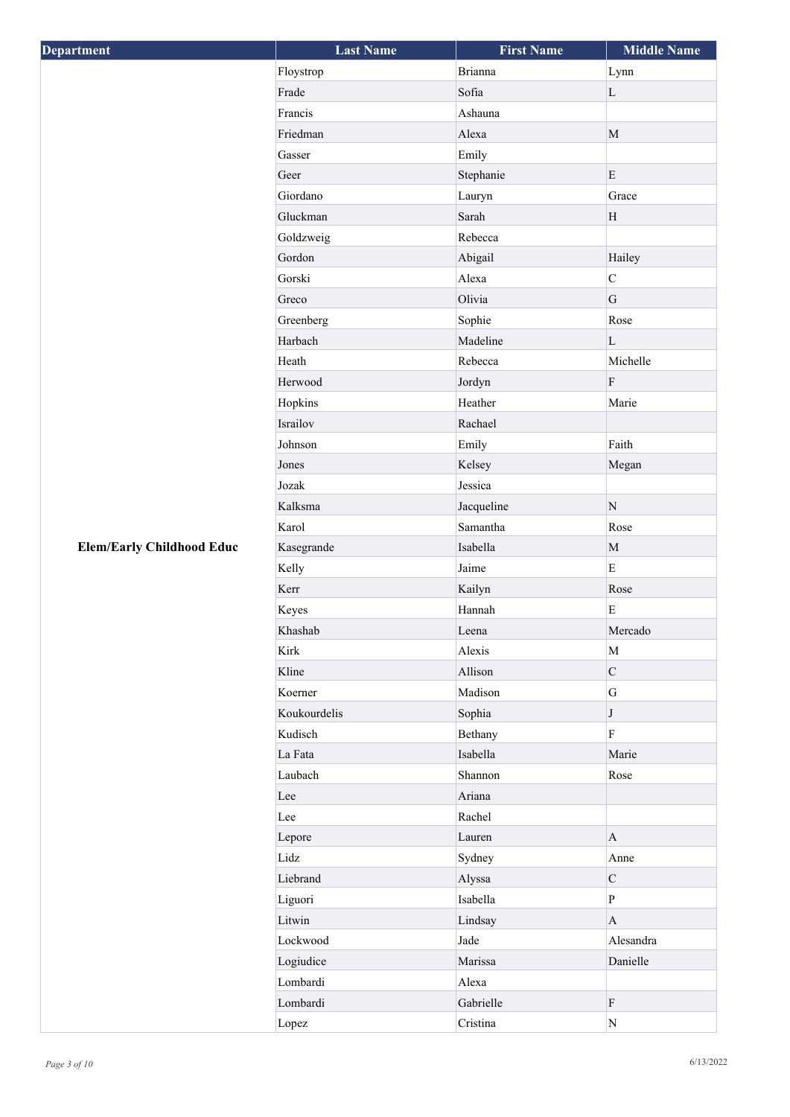| Department                       | <b>Last Name</b> | <b>First Name</b> | <b>Middle Name</b> |
|----------------------------------|------------------|-------------------|--------------------|
|                                  | Floystrop        | <b>Brianna</b>    | Lynn               |
|                                  | Frade            | Sofia             | $\mathbf L$        |
|                                  | Francis          | Ashauna           |                    |
|                                  | Friedman         | Alexa             | $\mathbf M$        |
|                                  | Gasser           | Emily             |                    |
|                                  | Geer             | Stephanie         | ${\bf E}$          |
|                                  | Giordano         | Lauryn            | Grace              |
|                                  | Gluckman         | Sarah             | $\rm H$            |
|                                  | Goldzweig        | Rebecca           |                    |
|                                  | Gordon           | Abigail           | Hailey             |
|                                  | Gorski           | Alexa             | $\overline{C}$     |
|                                  | Greco            | Olivia            | G                  |
|                                  | Greenberg        | Sophie            | Rose               |
|                                  | Harbach          | Madeline          | $\mathbf L$        |
|                                  | Heath            | Rebecca           | Michelle           |
|                                  | Herwood          | Jordyn            | $\rm F$            |
|                                  | Hopkins          | Heather           | Marie              |
|                                  | Israilov         | Rachael           |                    |
|                                  | Johnson          | Emily             | Faith              |
|                                  | Jones            | Kelsey            | Megan              |
|                                  | Jozak            | Jessica           |                    |
|                                  | Kalksma          | Jacqueline        | ${\bf N}$          |
|                                  | Karol            | Samantha          | Rose               |
| <b>Elem/Early Childhood Educ</b> | Kasegrande       | Isabella          | $\mathbf M$        |
|                                  | Kelly            | Jaime             | $\mathbf E$        |
|                                  | Kerr             | Kailyn            | Rose               |
|                                  | Keyes            | Hannah            | ${\bf E}$          |
|                                  | Khashab          | Leena             | Mercado            |
|                                  | Kirk             | Alexis            | $\mathbf M$        |
|                                  | Kline            | Allison           | $\mathbf C$        |
|                                  | Koerner          | Madison           | $\overline{G}$     |
|                                  | Koukourdelis     | Sophia            | J                  |
|                                  | Kudisch          | Bethany           | $\overline{F}$     |
|                                  | La Fata          | Isabella          | Marie              |
|                                  | Laubach          | Shannon           | Rose               |
|                                  | Lee              | Ariana            |                    |
|                                  | Lee              | Rachel            |                    |
|                                  | Lepore           | Lauren            | $\bf{A}$           |
|                                  | Lidz             | Sydney            | Anne               |
|                                  | Liebrand         | Alyssa            | $\mathbf C$        |
|                                  | Liguori          | Isabella          | $\overline{P}$     |
|                                  | Litwin           | Lindsay           | $\mathbf{A}$       |
|                                  | Lockwood         | Jade              | Alesandra          |
|                                  | Logiudice        | Marissa           | Danielle           |
|                                  | Lombardi         | Alexa             |                    |
|                                  | Lombardi         | Gabrielle         | $\rm F$            |
|                                  | Lopez            | Cristina          | ${\bf N}$          |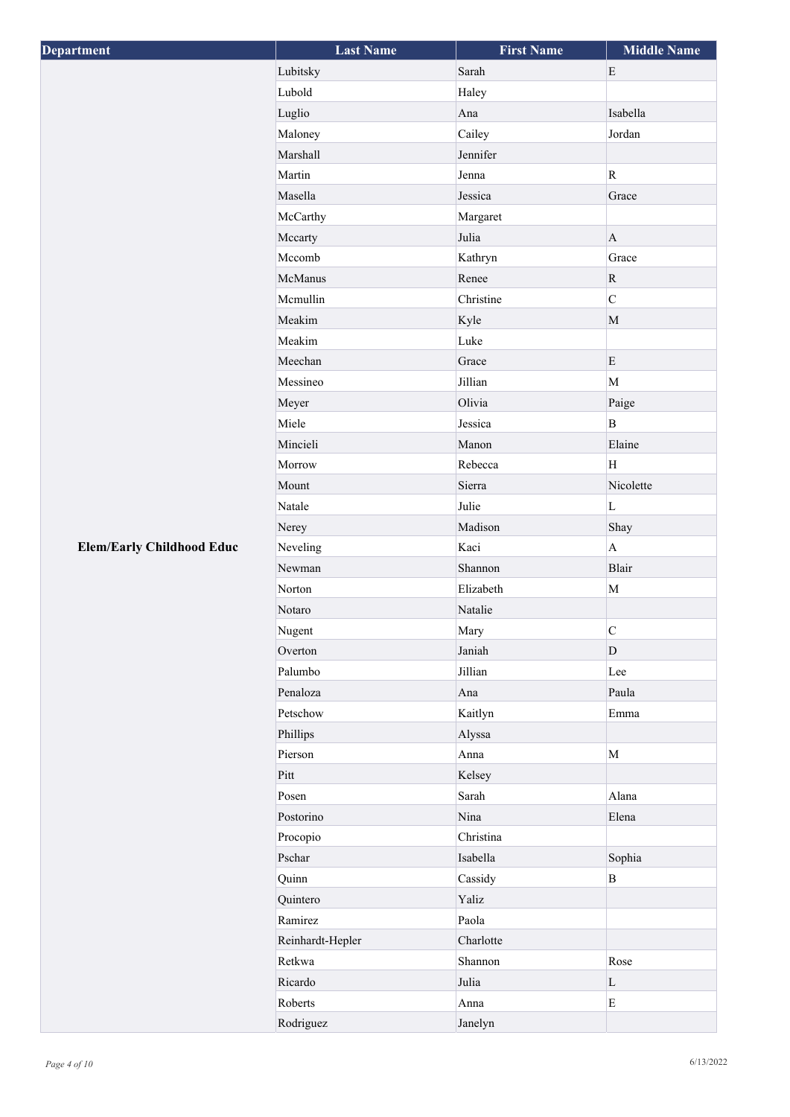| Department                       | <b>Last Name</b> | <b>First Name</b> | <b>Middle Name</b> |
|----------------------------------|------------------|-------------------|--------------------|
|                                  | Lubitsky         | Sarah             | $\mathbf E$        |
|                                  | Lubold           | Haley             |                    |
|                                  | Luglio           | Ana               | Isabella           |
|                                  | Maloney          | Cailey            | Jordan             |
|                                  | Marshall         | Jennifer          |                    |
|                                  | Martin           | Jenna             | ${\bf R}$          |
|                                  | Masella          | Jessica           | Grace              |
|                                  | McCarthy         | Margaret          |                    |
|                                  | Mccarty          | Julia             | $\mathbf{A}$       |
|                                  | Mccomb           | Kathryn           | Grace              |
|                                  | McManus          | Renee             | ${\bf R}$          |
|                                  | Mcmullin         | Christine         | $\overline{C}$     |
|                                  | Meakim           | Kyle              | $\mathbf M$        |
|                                  | Meakim           | Luke              |                    |
|                                  | Meechan          | Grace             | E                  |
|                                  | Messineo         | Jillian           | $\mathbf{M}$       |
|                                  | Meyer            | Olivia            | Paige              |
|                                  | Miele            | Jessica           | $\, {\bf B}$       |
|                                  | Mincieli         | Manon             | Elaine             |
|                                  | Morrow           | Rebecca           | H                  |
|                                  | Mount            | Sierra            | Nicolette          |
|                                  | Natale           | Julie             | L                  |
|                                  | Nerey            | Madison           | Shay               |
| <b>Elem/Early Childhood Educ</b> | Neveling         | Kaci              | $\mathbf{A}$       |
|                                  | Newman           | Shannon           | Blair              |
|                                  | Norton           | Elizabeth         | $\mathbf M$        |
|                                  | Notaro           | Natalie           |                    |
|                                  | Nugent           | Mary              | $\mathbf C$        |
|                                  | Overton          | Janiah            | $\mathbf{D}$       |
|                                  | Palumbo          | Jillian           | Lee                |
|                                  | Penaloza         | Ana               | Paula              |
|                                  | Petschow         | Kaitlyn           | Emma               |
|                                  | Phillips         | Alyssa            |                    |
|                                  | Pierson          | Anna              | $\mathbf M$        |
|                                  | Pitt             | Kelsey            |                    |
|                                  | Posen            | Sarah             | Alana              |
|                                  | Postorino        | Nina              | Elena              |
|                                  | Procopio         | Christina         |                    |
|                                  | Pschar           | Isabella          | Sophia             |
|                                  | Quinn            | Cassidy           | $\, {\bf B}$       |
|                                  | Quintero         | Yaliz             |                    |
|                                  | Ramirez          | Paola             |                    |
|                                  | Reinhardt-Hepler | Charlotte         |                    |
|                                  | Retkwa           | Shannon           | Rose               |
|                                  | Ricardo          | Julia             | $\mathbf L$        |
|                                  | Roberts          | Anna              | ${\bf E}$          |
|                                  | Rodriguez        | Janelyn           |                    |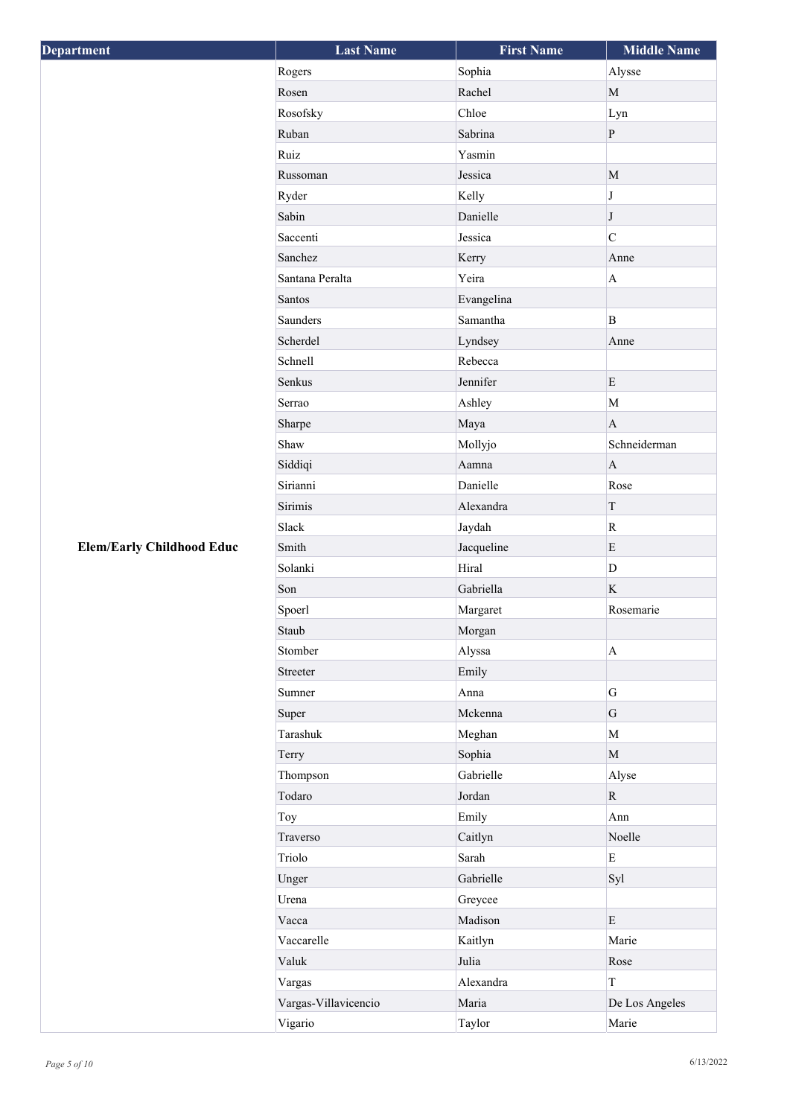| Department                       | <b>Last Name</b>     | <b>First Name</b> | <b>Middle Name</b>        |
|----------------------------------|----------------------|-------------------|---------------------------|
|                                  | Rogers               | Sophia            | Alysse                    |
|                                  | Rosen                | Rachel            | $\mathbf M$               |
|                                  | Rosofsky             | Chloe             | Lyn                       |
|                                  | Ruban                | Sabrina           | $\, {\bf P}$              |
|                                  | Ruiz                 | Yasmin            |                           |
|                                  | Russoman             | Jessica           | $\mathbf M$               |
|                                  | Ryder                | Kelly             | $\bf J$                   |
|                                  | Sabin                | Danielle          | $\bf J$                   |
|                                  | Saccenti             | Jessica           | $\overline{C}$            |
|                                  | Sanchez              | Kerry             | Anne                      |
|                                  | Santana Peralta      | Yeira             | $\mathbf{A}$              |
|                                  | Santos               | Evangelina        |                           |
|                                  | Saunders             | Samantha          | B                         |
|                                  | Scherdel             | Lyndsey           | Anne                      |
|                                  | Schnell              | Rebecca           |                           |
|                                  | Senkus               | Jennifer          | E                         |
|                                  | Serrao               | Ashley            | $\mathbf{M}$              |
|                                  | Sharpe               | Maya              | $\mathbf{A}$              |
|                                  | Shaw                 | Mollyjo           | Schneiderman              |
|                                  | Siddiqi              | Aamna             | $\mathbf{A}$              |
|                                  | Sirianni             | Danielle          | Rose                      |
|                                  | Sirimis              | Alexandra         | T                         |
|                                  | Slack                | Jaydah            | $\mathbf R$               |
| <b>Elem/Early Childhood Educ</b> | Smith                | Jacqueline        | E                         |
|                                  | Solanki              | Hiral             | D                         |
|                                  | Son                  | Gabriella         | $\mathbf K$               |
|                                  | Spoerl               | Margaret          | Rosemarie                 |
|                                  | Staub                | Morgan            |                           |
|                                  | Stomber              | Alyssa            | $\boldsymbol{\mathsf{A}}$ |
|                                  | Streeter             | Emily             |                           |
|                                  | Sumner               | Anna              | G                         |
|                                  | Super                | Mckenna           | G                         |
|                                  | Tarashuk             | Meghan            | M                         |
|                                  | Terry                | Sophia            | $\mathbf M$               |
|                                  | Thompson             | Gabrielle         | Alyse                     |
|                                  | Todaro               | Jordan            | $\mathbf R$               |
|                                  | Toy                  | Emily             | Ann                       |
|                                  | Traverso             | Caitlyn           | Noelle                    |
|                                  | Triolo               | Sarah             | $\mathbf E$               |
|                                  | Unger                | Gabrielle         | Syl                       |
|                                  | Urena                | Greycee           |                           |
|                                  | Vacca                | Madison           | ${\bf E}$                 |
|                                  | Vaccarelle           | Kaitlyn           | Marie                     |
|                                  | Valuk                | Julia             | Rose                      |
|                                  | Vargas               | Alexandra         | $\rm T$                   |
|                                  | Vargas-Villavicencio | Maria             | De Los Angeles            |
|                                  | Vigario              | Taylor            | Marie                     |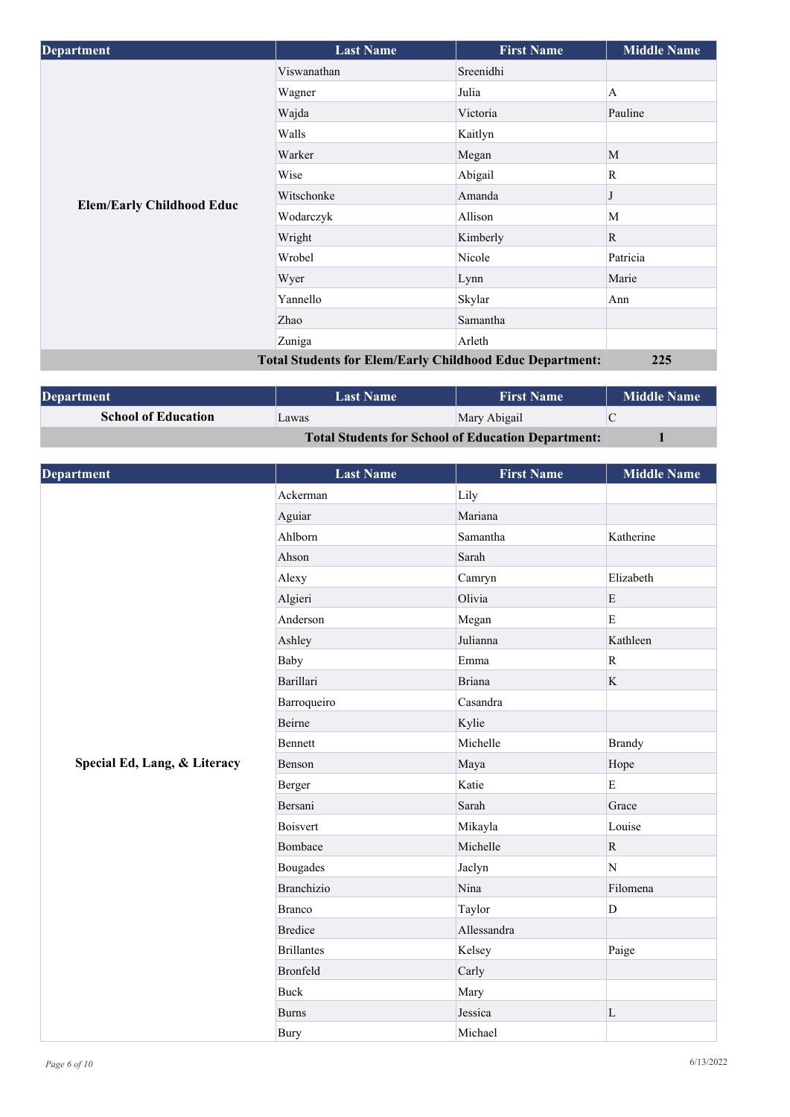| <b>Department</b>                | <b>Last Name</b>                                                | <b>First Name</b> | <b>Middle Name</b> |
|----------------------------------|-----------------------------------------------------------------|-------------------|--------------------|
|                                  | Viswanathan                                                     | Sreenidhi         |                    |
|                                  | Wagner                                                          | Julia             | A                  |
|                                  | Wajda                                                           | Victoria          | Pauline            |
|                                  | Walls                                                           | Kaitlyn           |                    |
|                                  | Warker                                                          | Megan             | M                  |
|                                  | Wise                                                            | Abigail           | R                  |
|                                  | Witschonke                                                      | Amanda            |                    |
| <b>Elem/Early Childhood Educ</b> | Wodarczyk                                                       | Allison           | M                  |
|                                  | Wright                                                          | Kimberly          | $\mathbf{R}$       |
|                                  | Wrobel                                                          | Nicole            | Patricia           |
|                                  | Wyer                                                            | Lynn              | Marie              |
|                                  | Yannello                                                        | Skylar            | Ann                |
|                                  | Zhao                                                            | Samantha          |                    |
|                                  | Zuniga                                                          | Arleth            |                    |
|                                  | <b>Total Students for Elem/Early Childhood Educ Department:</b> |                   | 225                |

| <b>Department</b>                                         | <b>Last Name</b> | <b>First Name</b> | <b>Middle Name</b> |
|-----------------------------------------------------------|------------------|-------------------|--------------------|
| <b>School of Education</b>                                | Lawas            | Mary Abigail      |                    |
| <b>Total Students for School of Education Department:</b> |                  |                   |                    |

| <b>Department</b>            | <b>Last Name</b>  | <b>First Name</b> | <b>Middle Name</b> |
|------------------------------|-------------------|-------------------|--------------------|
|                              | Ackerman          | Lily              |                    |
|                              | Aguiar            | Mariana           |                    |
|                              | Ahlborn           | Samantha          | Katherine          |
|                              | Ahson             | Sarah             |                    |
|                              | Alexy             | Camryn            | Elizabeth          |
|                              | Algieri           | Olivia            | ${\bf E}$          |
|                              | Anderson          | Megan             | E                  |
|                              | Ashley            | Julianna          | Kathleen           |
|                              | Baby              | Emma              | $\mathbf R$        |
|                              | Barillari         | <b>Briana</b>     | K                  |
|                              | Barroqueiro       | Casandra          |                    |
|                              | Beirne            | Kylie             |                    |
|                              | Bennett           | Michelle          | <b>Brandy</b>      |
| Special Ed, Lang, & Literacy | Benson            | Maya              | Hope               |
|                              | Berger            | Katie             | $\mathbf E$        |
|                              | Bersani           | Sarah             | Grace              |
|                              | <b>Boisvert</b>   | Mikayla           | Louise             |
|                              | Bombace           | Michelle          | $\mathbf{R}$       |
|                              | <b>Bougades</b>   | Jaclyn            | N                  |
|                              | <b>Branchizio</b> | Nina              | Filomena           |
|                              | <b>Branco</b>     | Taylor            | D                  |
|                              | <b>Bredice</b>    | Allessandra       |                    |
|                              | <b>Brillantes</b> | Kelsey            | Paige              |
|                              | <b>Bronfeld</b>   | Carly             |                    |
|                              | <b>Buck</b>       | Mary              |                    |
|                              | <b>Burns</b>      | Jessica           | $\mathbf L$        |
|                              | <b>Bury</b>       | Michael           |                    |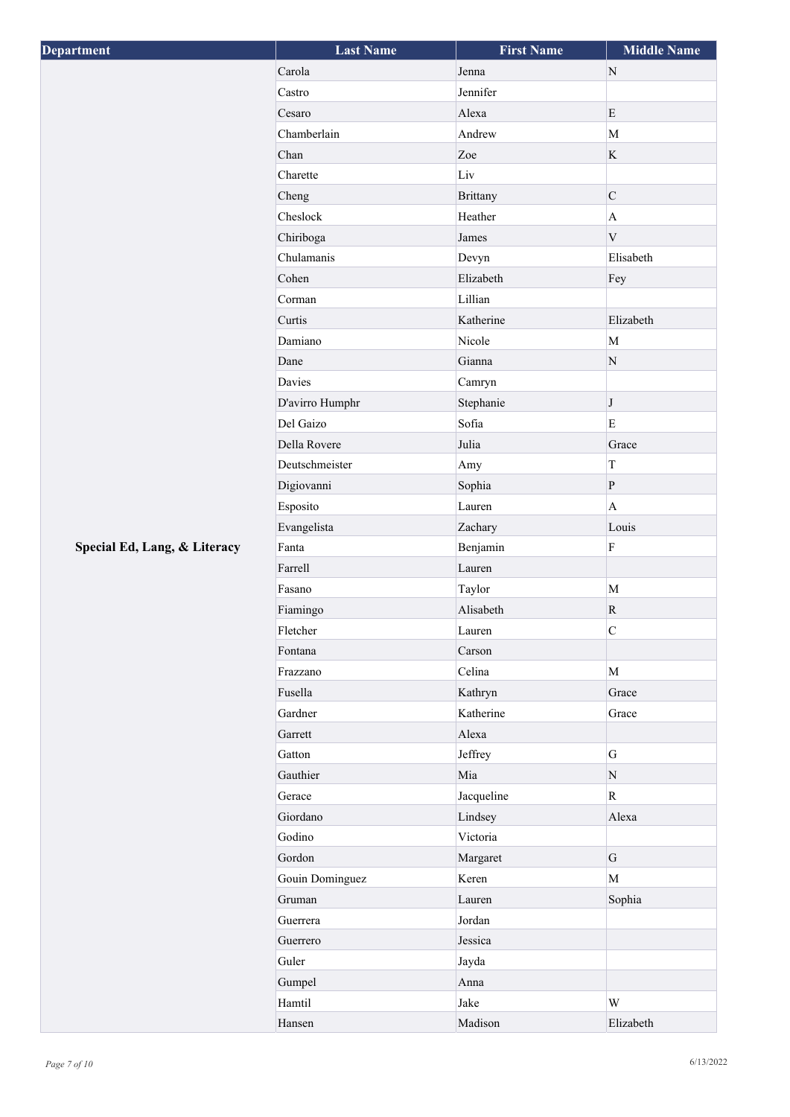| <b>Department</b>            | <b>Last Name</b> | <b>First Name</b> | <b>Middle Name</b> |
|------------------------------|------------------|-------------------|--------------------|
|                              | Carola           | Jenna             | ${\rm N}$          |
|                              | Castro           | Jennifer          |                    |
|                              | Cesaro           | Alexa             | E                  |
|                              | Chamberlain      | Andrew            | $\mathbf{M}$       |
|                              | Chan             | Zoe               | $\rm K$            |
|                              | Charette         | Liv               |                    |
|                              | Cheng            | <b>Brittany</b>   | $\mathbf C$        |
|                              | Cheslock         | Heather           | $\mathbf{A}$       |
|                              | Chiriboga        | James             | $\mathbf V$        |
|                              | Chulamanis       | Devyn             | Elisabeth          |
|                              | Cohen            | Elizabeth         | Fey                |
|                              | Corman           | Lillian           |                    |
|                              | Curtis           | Katherine         | Elizabeth          |
|                              | Damiano          | Nicole            | $\mathbf{M}$       |
|                              | Dane             | Gianna            | ${\bf N}$          |
|                              | Davies           | Camryn            |                    |
|                              | D'avirro Humphr  | Stephanie         | $\bf J$            |
|                              | Del Gaizo        | Sofia             | $\mathbf E$        |
|                              | Della Rovere     | Julia             | Grace              |
|                              | Deutschmeister   | Amy               | $\rm T$            |
|                              | Digiovanni       | Sophia            | $\, {\bf P}$       |
|                              | Esposito         | Lauren            | $\mathbf{A}$       |
|                              | Evangelista      | Zachary           | Louis              |
| Special Ed, Lang, & Literacy | Fanta            | Benjamin          | $\rm F$            |
|                              | Farrell          | Lauren            |                    |
|                              | Fasano           | Taylor            | $\mathbf{M}$       |
|                              | Fiamingo         | Alisabeth         | R                  |
|                              | Fletcher         | Lauren            | $\overline{C}$     |
|                              | Fontana          | Carson            |                    |
|                              | Frazzano         | Celina            | $\mathbf M$        |
|                              | Fusella          | Kathryn           | Grace              |
|                              | Gardner          | Katherine         | Grace              |
|                              | Garrett          | Alexa             |                    |
|                              | Gatton           | Jeffrey           | ${\bf G}$          |
|                              | Gauthier         | Mia               | ${\bf N}$          |
|                              | Gerace           | Jacqueline        | $\mathbf R$        |
|                              | Giordano         | Lindsey           | Alexa              |
|                              | Godino           | Victoria          |                    |
|                              | Gordon           | Margaret          | $\mathbf G$        |
|                              | Gouin Dominguez  | Keren             | $\mathbf M$        |
|                              | Gruman           | Lauren            | Sophia             |
|                              | Guerrera         | Jordan            |                    |
|                              | Guerrero         | Jessica           |                    |
|                              | Guler            | Jayda             |                    |
|                              | Gumpel           | Anna              |                    |
|                              | Hamtil           | Jake              | $\mathbf W$        |
|                              | Hansen           | Madison           | Elizabeth          |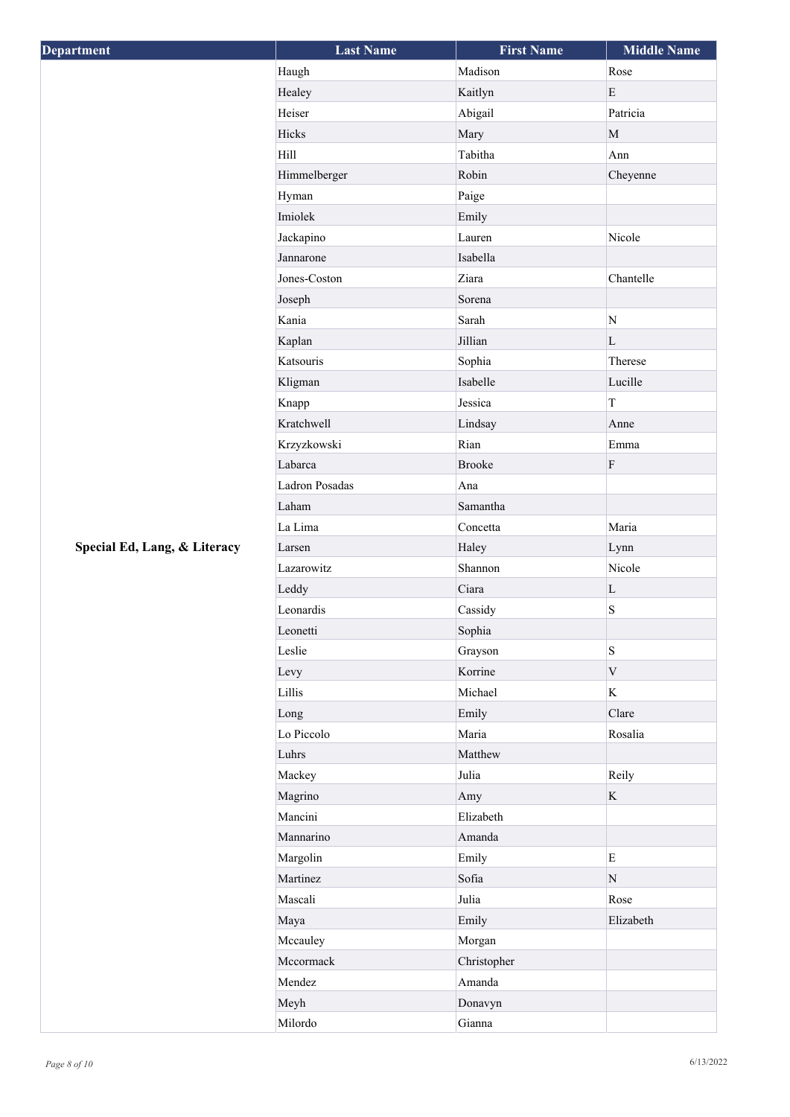| <b>Department</b>            | <b>Last Name</b> | <b>First Name</b> | <b>Middle Name</b> |
|------------------------------|------------------|-------------------|--------------------|
|                              | Haugh            | Madison           | Rose               |
|                              | Healey           | Kaitlyn           | ${\bf E}$          |
|                              | Heiser           | Abigail           | Patricia           |
|                              | Hicks            | Mary              | $\mathbf M$        |
|                              | Hill             | Tabitha           | Ann                |
|                              | Himmelberger     | Robin             | Cheyenne           |
|                              | Hyman            | Paige             |                    |
|                              | Imiolek          | Emily             |                    |
|                              | Jackapino        | Lauren            | Nicole             |
|                              | Jannarone        | Isabella          |                    |
|                              | Jones-Coston     | Ziara             | Chantelle          |
|                              | Joseph           | Sorena            |                    |
|                              | Kania            | Sarah             | $\overline{\rm N}$ |
|                              | Kaplan           | Jillian           | L                  |
|                              | Katsouris        | Sophia            | Therese            |
|                              | Kligman          | Isabelle          | Lucille            |
|                              | Knapp            | Jessica           | $\bar{\rm T}$      |
|                              | Kratchwell       | Lindsay           | Anne               |
|                              | Krzyzkowski      | Rian              | Emma               |
|                              | Labarca          | <b>Brooke</b>     | ${\bf F}$          |
|                              | Ladron Posadas   | Ana               |                    |
|                              | Laham            | Samantha          |                    |
|                              | La Lima          | Concetta          | Maria              |
| Special Ed, Lang, & Literacy | Larsen           | Haley             | Lynn               |
|                              | Lazarowitz       | Shannon           | Nicole             |
|                              | Leddy            | Ciara             | L                  |
|                              | Leonardis        | Cassidy           | S                  |
|                              | Leonetti         | Sophia            |                    |
|                              | Leslie           | Grayson           | $\mathbf S$        |
|                              | Levy             | Korrine           | $\mathbf V$        |
|                              | Lillis           | Michael           | $\mathbf K$        |
|                              | Long             | Emily             | Clare              |
|                              | Lo Piccolo       | Maria             | Rosalia            |
|                              | Luhrs            | Matthew           |                    |
|                              | Mackey           | Julia             | Reily              |
|                              | Magrino          | Amy               | $\mathbf K$        |
|                              | Mancini          | Elizabeth         |                    |
|                              | Mannarino        | Amanda            |                    |
|                              | Margolin         | Emily             | ${\bf E}$          |
|                              | Martinez         | Sofia             | $\mathbf N$        |
|                              | Mascali          | Julia             | Rose               |
|                              | Maya             | Emily             | Elizabeth          |
|                              | Mccauley         | Morgan            |                    |
|                              | Mccormack        | Christopher       |                    |
|                              | Mendez           | Amanda            |                    |
|                              | Meyh             | Donavyn           |                    |
|                              | Milordo          | Gianna            |                    |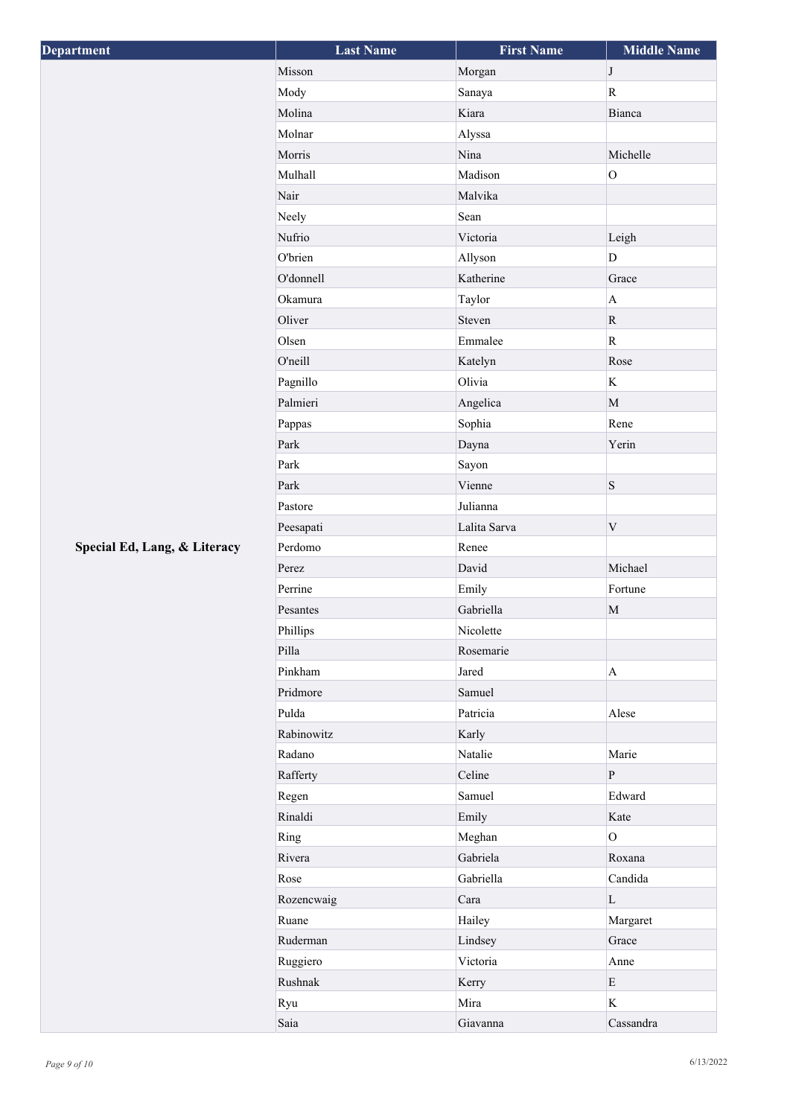| <b>Department</b>            | <b>Last Name</b> | <b>First Name</b> | <b>Middle Name</b>      |
|------------------------------|------------------|-------------------|-------------------------|
|                              | Misson           | Morgan            | $\bf J$                 |
|                              | Mody             | Sanaya            | $\overline{\mathbf{R}}$ |
|                              | Molina           | Kiara             | Bianca                  |
|                              | Molnar           | Alyssa            |                         |
|                              | Morris           | Nina              | Michelle                |
|                              | Mulhall          | Madison           | $\mathbf 0$             |
|                              | Nair             | Malvika           |                         |
|                              | Neely            | Sean              |                         |
|                              | Nufrio           | Victoria          | Leigh                   |
|                              | O'brien          | Allyson           | D                       |
|                              | O'donnell        | Katherine         | Grace                   |
|                              | Okamura          | Taylor            | $\boldsymbol{\rm{A}}$   |
|                              | Oliver           | Steven            | ${\bf R}$               |
|                              | Olsen            | Emmalee           | $\overline{\mathbf{R}}$ |
|                              | O'neill          | Katelyn           | Rose                    |
|                              | Pagnillo         | Olivia            | $\rm K$                 |
|                              | Palmieri         | Angelica          | $\mathbf{M}$            |
|                              | Pappas           | Sophia            | Rene                    |
|                              | Park             | Dayna             | Yerin                   |
|                              | Park             | Sayon             |                         |
|                              | Park             | Vienne            | S                       |
|                              | Pastore          | Julianna          |                         |
|                              | Peesapati        | Lalita Sarva      | $\mathbf V$             |
| Special Ed, Lang, & Literacy | Perdomo          | Renee             |                         |
|                              | Perez            | David             | Michael                 |
|                              | Perrine          | Emily             | Fortune                 |
|                              | Pesantes         | Gabriella         | $\mathbf M$             |
|                              | Phillips         | Nicolette         |                         |
|                              | Pilla            | Rosemarie         |                         |
|                              | Pinkham          | Jared             | $\mathbf{A}$            |
|                              | Pridmore         | Samuel            |                         |
|                              | Pulda            | Patricia          | Alese                   |
|                              | Rabinowitz       | Karly             |                         |
|                              | Radano           | Natalie           | Marie                   |
|                              | Rafferty         | Celine            | $\, {\bf P}$            |
|                              | Regen            | Samuel            | Edward                  |
|                              | Rinaldi          | Emily             | Kate                    |
|                              | Ring             | Meghan            | $\overline{O}$          |
|                              | Rivera           | Gabriela          | Roxana                  |
|                              | Rose             | Gabriella         | Candida                 |
|                              | Rozencwaig       | Cara              | $\mathbf L$             |
|                              | Ruane            | Hailey            | Margaret                |
|                              | Ruderman         | Lindsey           | Grace                   |
|                              | Ruggiero         | Victoria          | Anne                    |
|                              | Rushnak          | Kerry             | E                       |
|                              | Ryu              | Mira              | $\rm K$                 |
|                              | Saia             | Giavanna          | Cassandra               |